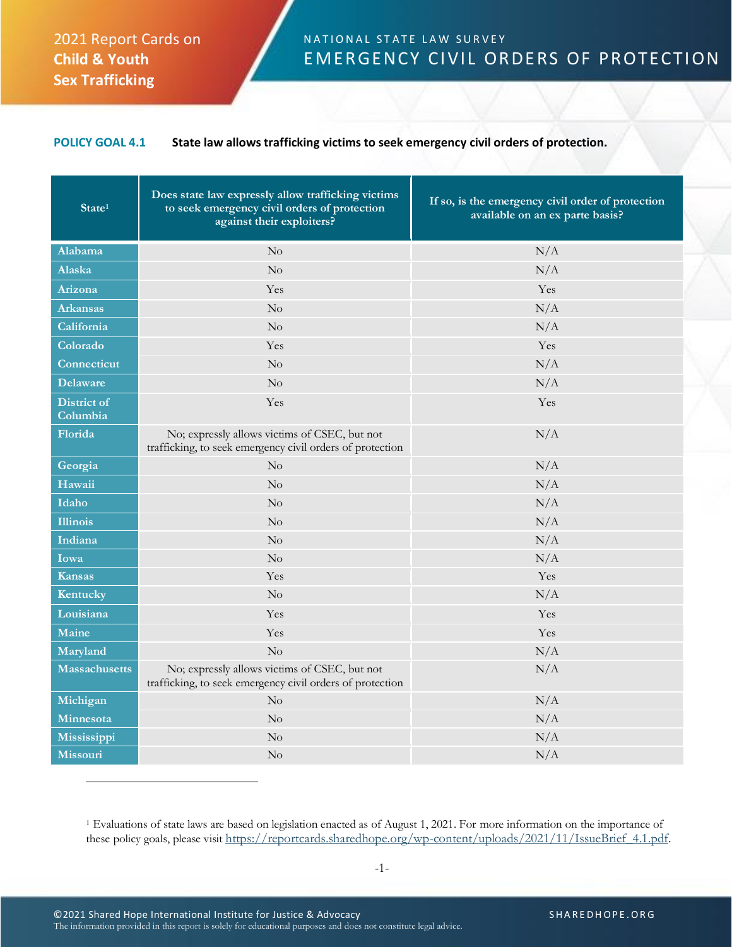## 2021 Report Cards on **Child & Youth Sex Trafficking**

## N A T I O N A L STATE LAW SURVEY EMERGENCY CIVIL ORDERS OF PROTECTION

## **POLICY GOAL 4.1 State law allows trafficking victims to seek emergency civil orders of protection.**

| State <sup>1</sup>             | Does state law expressly allow trafficking victims<br>to seek emergency civil orders of protection<br>against their exploiters? | If so, is the emergency civil order of protection<br>available on an ex parte basis? |
|--------------------------------|---------------------------------------------------------------------------------------------------------------------------------|--------------------------------------------------------------------------------------|
| Alabama                        | No                                                                                                                              | N/A                                                                                  |
| Alaska                         | $\rm No$                                                                                                                        | N/A                                                                                  |
| Arizona                        | Yes                                                                                                                             | Yes                                                                                  |
| <b>Arkansas</b>                | $\rm No$                                                                                                                        | N/A                                                                                  |
| California                     | $\rm No$                                                                                                                        | N/A                                                                                  |
| Colorado                       | Yes                                                                                                                             | Yes                                                                                  |
| Connecticut                    | $\rm No$                                                                                                                        | N/A                                                                                  |
| <b>Delaware</b>                | No                                                                                                                              | N/A                                                                                  |
| <b>District of</b><br>Columbia | Yes                                                                                                                             | Yes                                                                                  |
| Florida                        | No; expressly allows victims of CSEC, but not<br>trafficking, to seek emergency civil orders of protection                      | N/A                                                                                  |
| Georgia                        | $\rm No$                                                                                                                        | N/A                                                                                  |
| Hawaii                         | $\rm No$                                                                                                                        | N/A                                                                                  |
| Idaho                          | $\rm No$                                                                                                                        | N/A                                                                                  |
| <b>Illinois</b>                | $\rm No$                                                                                                                        | N/A                                                                                  |
| Indiana                        | No                                                                                                                              | N/A                                                                                  |
| Iowa                           | No                                                                                                                              | N/A                                                                                  |
| <b>Kansas</b>                  | Yes                                                                                                                             | Yes                                                                                  |
| Kentucky                       | No                                                                                                                              | N/A                                                                                  |
| Louisiana                      | Yes                                                                                                                             | Yes                                                                                  |
| Maine                          | Yes                                                                                                                             | Yes                                                                                  |
| Maryland                       | $\rm No$                                                                                                                        | N/A                                                                                  |
| <b>Massachusetts</b>           | No; expressly allows victims of CSEC, but not<br>trafficking, to seek emergency civil orders of protection                      | N/A                                                                                  |
| Michigan                       | No                                                                                                                              | N/A                                                                                  |
| Minnesota                      | $\rm No$                                                                                                                        | N/A                                                                                  |
| Mississippi                    | $\rm No$                                                                                                                        | N/A                                                                                  |
| <b>Missouri</b>                | $\rm No$                                                                                                                        | N/A                                                                                  |

<sup>1</sup> Evaluations of state laws are based on legislation enacted as of August 1, 2021. For more information on the importance of these policy goals, please visit [https://reportcards.sharedhope.org/wp-content/uploads/2021/11/IssueBrief\\_4.1.pdf.](https://reportcards.sharedhope.org/wp-content/uploads/2021/11/IssueBrief_4.1.pdf)